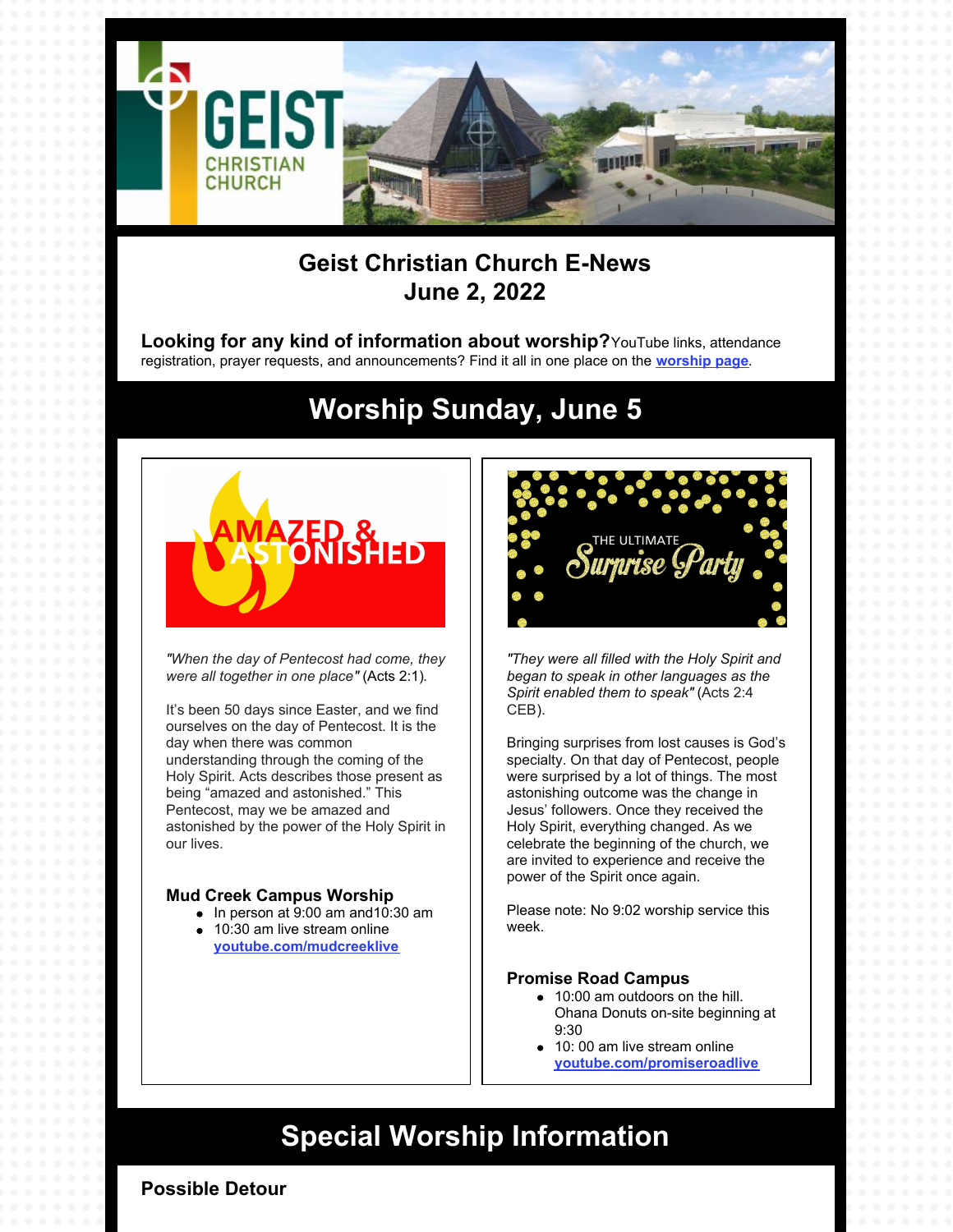

### **Geist Christian Church E-News June 2, 2022**

**Looking for any kind of information about worship?**YouTube links, attendance registration, prayer requests, and announcements? Find it all in one place on the **[worship](https://geistchristian.org/worship-at-geist-christian-church/) page**.

## **Worship Sunday, June 5**



*"When the day of Pentecost had come, they were all together in one place"* (Acts 2:1).

It's been 50 days since Easter, and we find ourselves on the day of Pentecost. It is the day when there was common understanding through the coming of the Holy Spirit. Acts describes those present as being "amazed and astonished." This Pentecost, may we be amazed and astonished by the power of the Holy Spirit in our lives.

#### **Mud Creek Campus Worship**

- $\bullet$  In person at 9:00 am and 10:30 am
- 10:30 am live stream online **[youtube.com/mudcreeklive](https://www.youtube.com/mudcreeklive)**



*"They were all filled with the Holy Spirit and began to speak in other languages as the Spirit enabled them to speak"* (Acts 2:4 CEB).

Bringing surprises from lost causes is God's specialty. On that day of Pentecost, people were surprised by a lot of things. The most astonishing outcome was the change in Jesus' followers. Once they received the Holy Spirit, everything changed. As we celebrate the beginning of the church, we are invited to experience and receive the power of the Spirit once again.

Please note: No 9:02 worship service this week.

### **Promise Road Campus**

- 10:00 am outdoors on the hill. Ohana Donuts on-site beginning at 9:30
- 10: 00 am live stream online **[youtube.com/promiseroadlive](http://youtube.com/promiseroadlive)**

## **Special Worship Information**

**Possible Detour**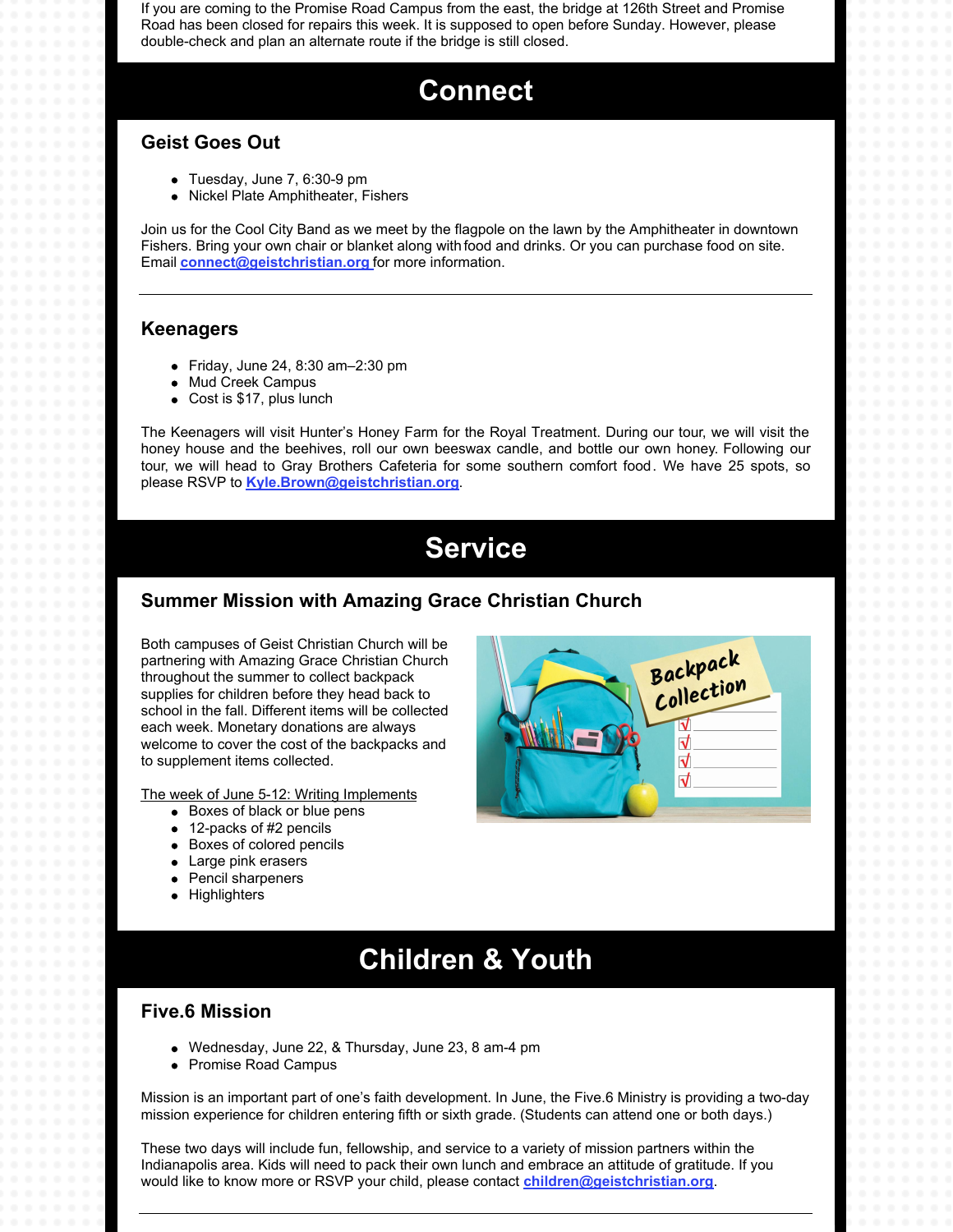If you are coming to the Promise Road Campus from the east, the bridge at 126th Street and Promise Road has been closed for repairs this week. It is supposed to open before Sunday. However, please double-check and plan an alternate route if the bridge is still closed.

## **Connect**

### **Geist Goes Out**

- Tuesday, June 7, 6:30-9 pm
- Nickel Plate Amphitheater, Fishers

Join us for the Cool City Band as we meet by the flagpole on the lawn by the Amphitheater in downtown Fishers. Bring your own chair or blanket along with food and drinks. Or you can purchase food on site. Email **[connect@geistchristian.org](mailto:connect@geistchristian.org)** for more information.

#### **Keenagers**

- Friday, June 24, 8:30 am–2:30 pm
- Mud Creek Campus
- Cost is \$17, plus lunch  $\bullet$

The Keenagers will visit Hunter's Honey Farm for the Royal Treatment. During our tour, we will visit the honey house and the beehives, roll our own beeswax candle, and bottle our own honey. Following our tour, we will head to Gray Brothers Cafeteria for some southern comfort food. We have 25 spots, so please RSVP to **[Kyle.Brown@geistchristian.org](mailto:Kyle.Brown@geistchristian.org)**.

## **Service**

### **Summer Mission with Amazing Grace Christian Church**

Both campuses of Geist Christian Church will be partnering with Amazing Grace Christian Church throughout the summer to collect backpack supplies for children before they head back to school in the fall. Different items will be collected each week. Monetary donations are always welcome to cover the cost of the backpacks and to supplement items collected.

The week of June 5-12: Writing Implements

- Boxes of black or blue pens
- 12-packs of #2 pencils
- Boxes of colored pencils
- Large pink erasers
- $\bullet$ Pencil sharpeners
- Highlighters



## **Children & Youth**

#### **Five.6 Mission**

- Wednesday, June 22, & Thursday, June 23, 8 am-4 pm
- Promise Road Campus

Mission is an important part of one's faith development. In June, the Five.6 Ministry is providing a two-day mission experience for children entering fifth or sixth grade. (Students can attend one or both days.)

These two days will include fun, fellowship, and service to a variety of mission partners within the Indianapolis area. Kids will need to pack their own lunch and embrace an attitude of gratitude. If you would like to know more or RSVP your child, please contact **[children@geistchristian.org](mailto:children@geistchristian.org)**.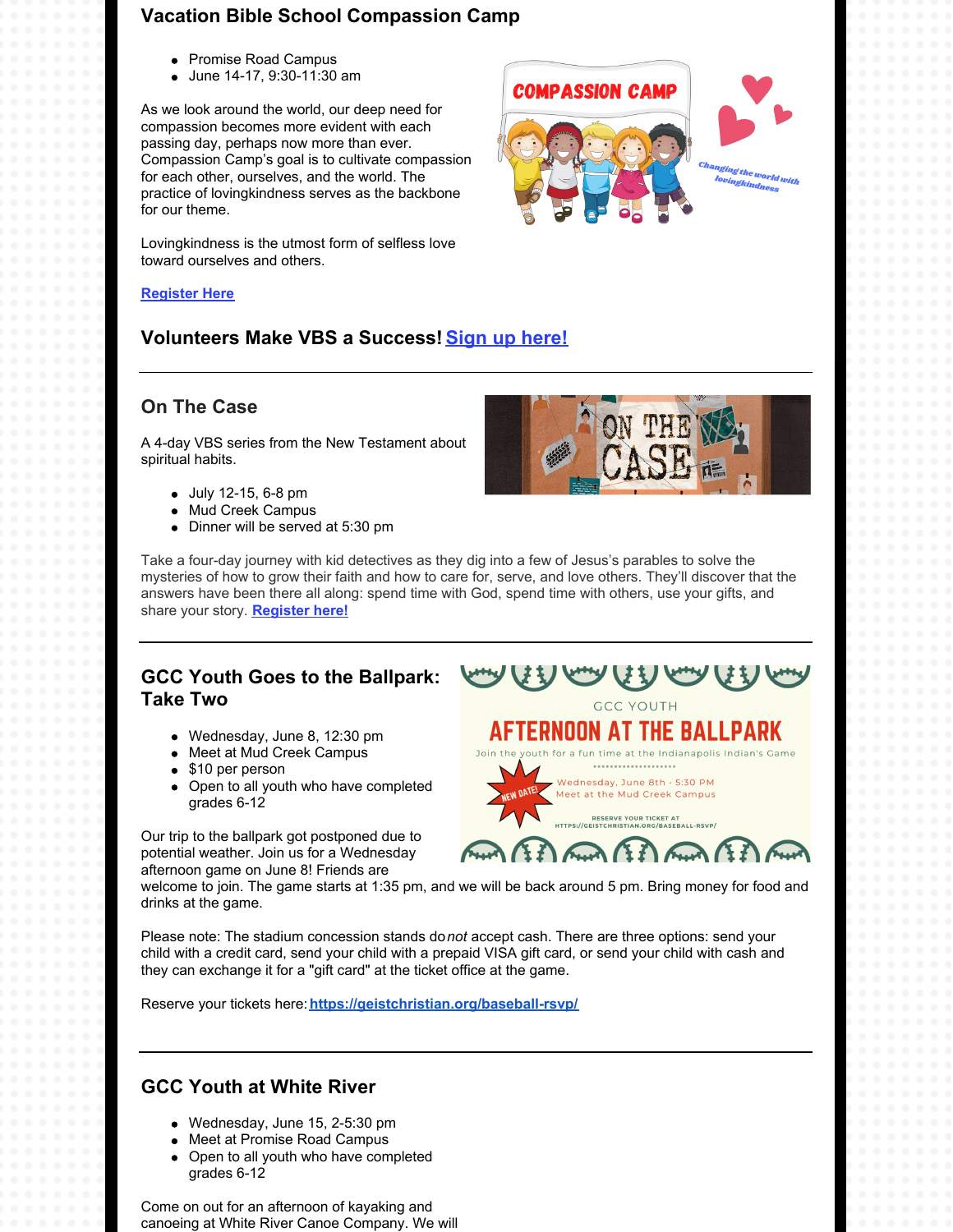### **Vacation Bible School Compassion Camp**

- Promise Road Campus
- June 14-17, 9:30-11:30 am

As we look around the world, our deep need for compassion becomes more evident with each passing day, perhaps now more than ever. Compassion Camp's goal is to cultivate compassion for each other, ourselves, and the world. The practice of lovingkindness serves as the backbone for our theme.

Lovingkindness is the utmost form of selfless love toward ourselves and others.

#### **[Register](http://geistchristian.org/2022-vbs/) Here**

### **Volunteers Make VBS a Success! Sign up [here!](https://geistchristian.shelbynextchms.com/external/form/b3b6e3d9-785c-4140-89a1-7cfeb0edeff9)**

#### **On The Case**

A 4-day VBS series from the New Testament about spiritual habits.

- July 12-15, 6-8 pm
- Mud Creek Campus
- Dinner will be served at 5:30 pm

Take a four-day journey with kid detectives as they dig into a few of Jesus's parables to solve the mysteries of how to grow their faith and how to care for, serve, and love others. They'll discover that the answers have been there all along: spend time with God, spend time with others, use your gifts, and share your story. **[Register](https://forms.office.com/r/C5pWHP5YNP) here!**

### **GCC Youth Goes to the Ballpark: Take Two**

- Wednesday, June 8, 12:30 pm
- Meet at Mud Creek Campus
- \$10 per person
- Open to all youth who have completed grades 6-12

Our trip to the ballpark got postponed due to potential weather. Join us for a Wednesday afternoon game on June 8! Friends are

**AFTERNOON AT THE BALLPARK** outh for a fun time at the Indianapolis Indian's Game

AAMAANAANA

Meet at the Mud Creek Campus **RESERVE YOUR TICKET AT<br>EISTCHRISTIAN.ORG/BASEBALL-RSVP/** 

welcome to join. The game starts at 1:35 pm, and we will be back around 5 pm. Bring money for food and drinks at the game.

Please note: The stadium concession stands do*not* accept cash. There are three options: send your child with a credit card, send your child with a prepaid VISA gift card, or send your child with cash and they can exchange it for a "gift card" at the ticket office at the game.

Reserve your tickets here:**<https://geistchristian.org/baseball-rsvp/>**

### **GCC Youth at White River**

- Wednesday, June 15, 2-5:30 pm
- Meet at Promise Road Campus
- Open to all youth who have completed grades 6-12

Come on out for an afternoon of kayaking and canoeing at White River Canoe Company. We will